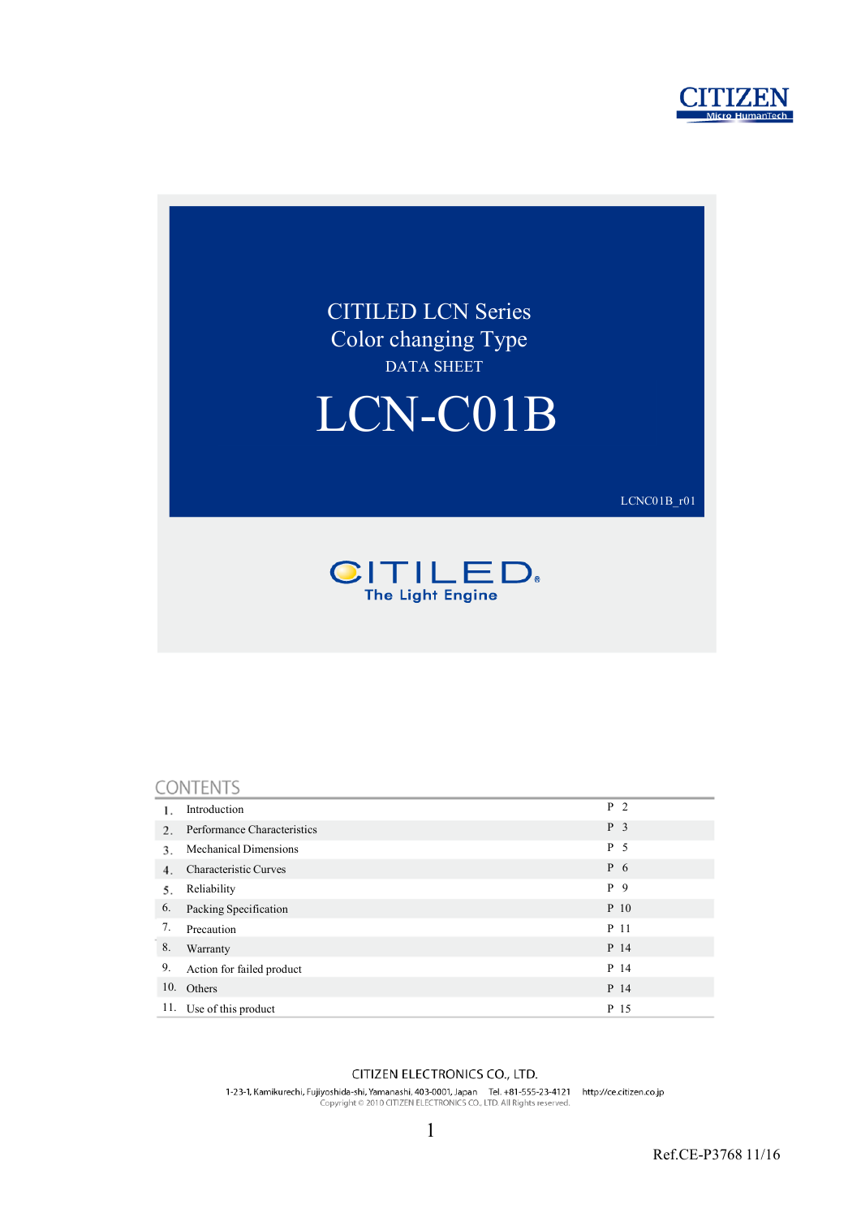



#### CONTENTS

|     | Introduction                 | P <sub>2</sub> |
|-----|------------------------------|----------------|
| 2.  | Performance Characteristics  | P <sub>3</sub> |
| 3.  | <b>Mechanical Dimensions</b> | P 5            |
| 4.  | Characteristic Curves        | P 6            |
| 5.  | Reliability                  | P 9            |
| 6.  | Packing Specification        | P 10           |
| 7.  | Precaution                   | P 11           |
| 8.  | Warranty                     | P 14           |
| 9.  | Action for failed product    | P 14           |
| 10. | Others                       | P 14           |
| 11. | Use of this product          | P 15           |

#### CITIZEN ELECTRONICS CO., LTD.

1-23-1, Kamikurechi, Fujiyoshida-shi, Yamanashi, 403-0001, Japan Tel. +81-555-23-4121 http://ce.citizen.co.jp<br>Copyright © 2010 CITIZEN ELECTRONICS CO., LTD. All Rights reserved.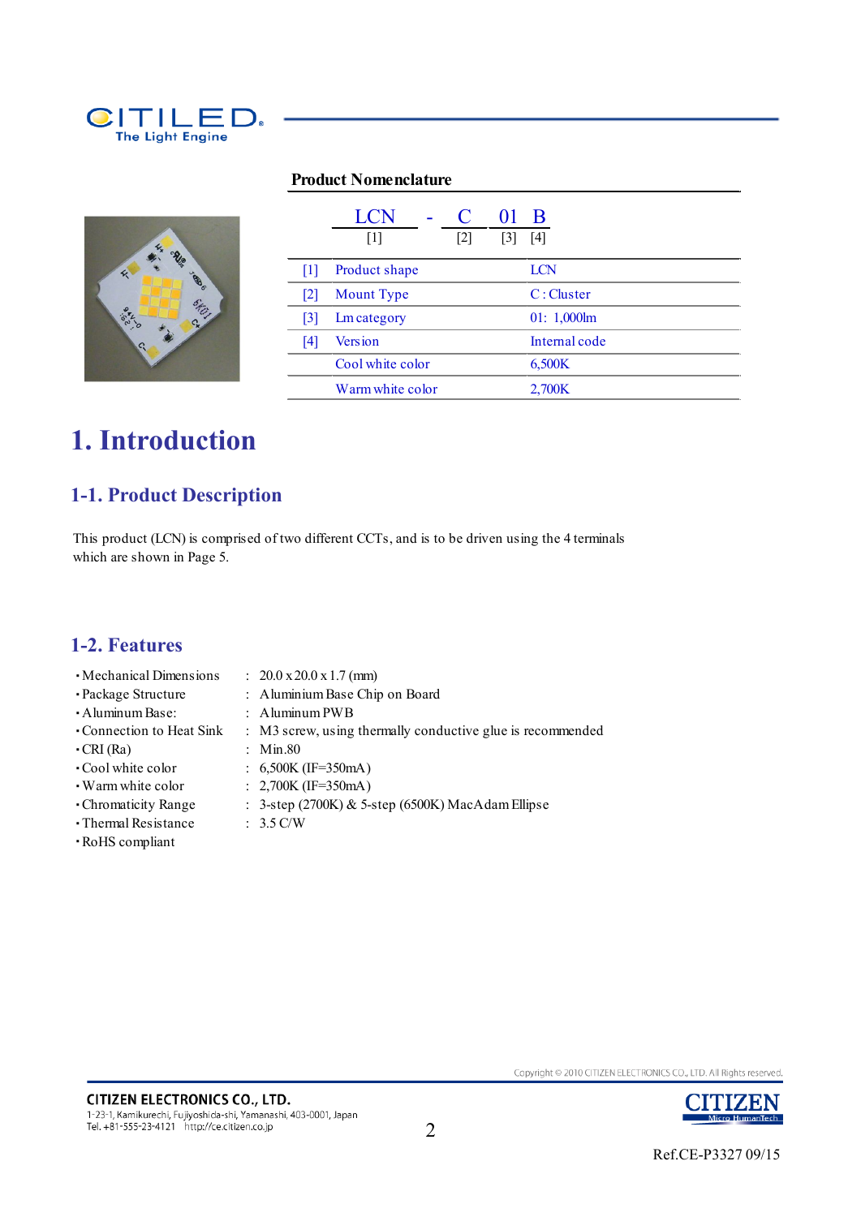

#### **Product Nomenclature**



|                   | <b>LCN</b><br>$\lceil 1 \rceil$ | $\lceil 2 \rceil$ | 3 | B<br> 4        |
|-------------------|---------------------------------|-------------------|---|----------------|
| 111               | Product shape                   |                   |   | <b>LCN</b>     |
| 2                 | <b>Mount</b> Type               |                   |   | C: Cluster     |
| $\lceil 3 \rceil$ | <b>Lm</b> category              |                   |   | $01: 1,000$ lm |
| 14                | <b>Version</b>                  |                   |   | Internal code  |
|                   | Cool white color                |                   |   | 6,500K         |
|                   | Warm white color                |                   |   | 2,700K         |

# **1. Introduction**

# **1-1. Product Description**

This product (LCN) is comprised of two different CCTs, and is to be driven using the 4 terminals which are shown in Page 5.

### **1-2. Features**

・Mechanical Dimensions : 20.0 x 20.0 x 1.7 (mm)

**CITIZEN ELECTRONICS CO., LTD.** 

Tel. +81-555-23-4121 http://ce.citizen.co.jp

1-23-1, Kamikurechi, Fujiyoshida-shi, Yamanashi, 403-0001, Japan

- 
- 
- ・Package Structure : Aluminium Base Chip on Board
- ・Aluminum Base: : Aluminum PWB
- ・Connection to Heat Sink : M3 screw, using thermally conductive glue is recommended
- ・CRI (Ra) : Min.80
- ・Cool white color : 6,500K (IF=350mA)
- ・Warm white color : 2,700K (IF=350mA)
- Chromaticity Range : 3-step (2700K) & 5-step (6500K) MacAdam Ellipse
- ・Thermal Resistance : 3.5 C/W
- 
- ・RoHS compliant

2

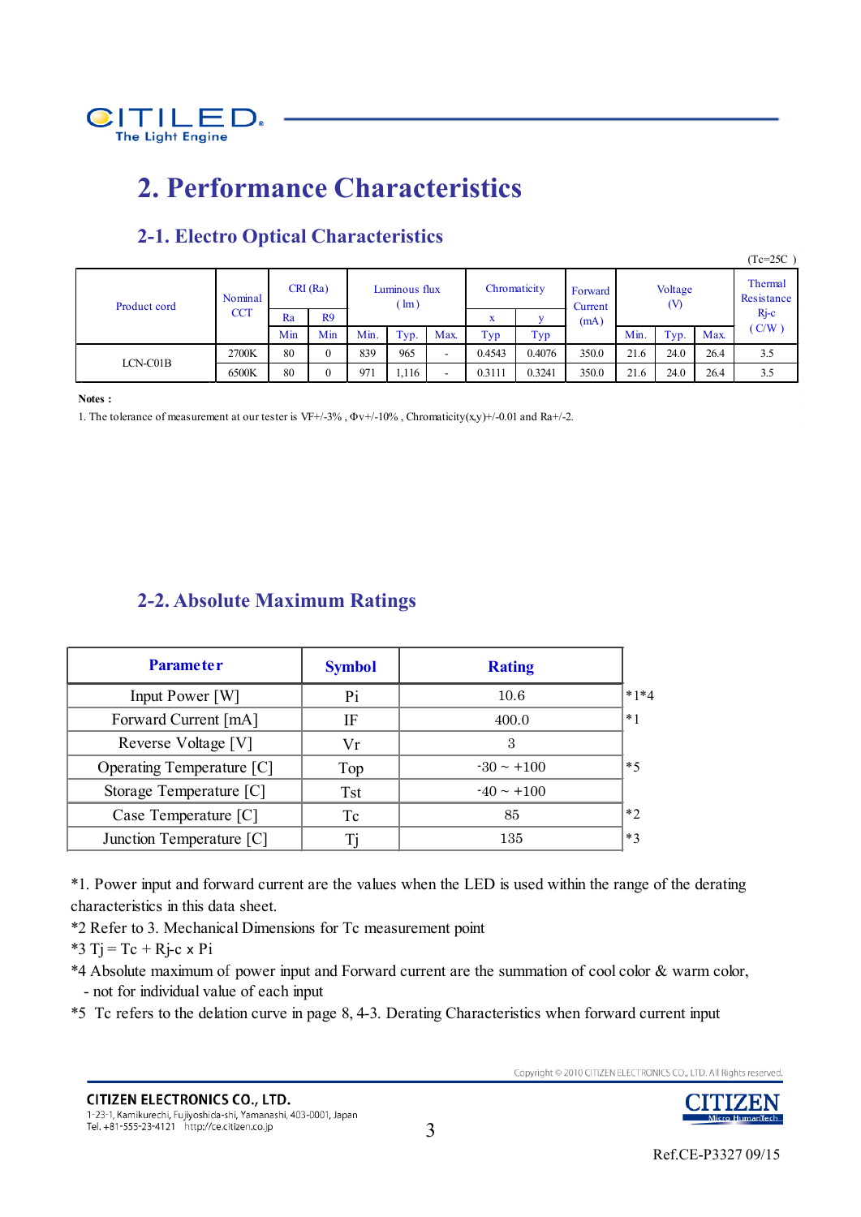

# **2. Performance Characteristics**

|              |            |     |                |                                |        |                          |        |                    |                |      |                       |            | $(Tc=25C)$ |
|--------------|------------|-----|----------------|--------------------------------|--------|--------------------------|--------|--------------------|----------------|------|-----------------------|------------|------------|
| Product cord | Nominal    |     | CRI(Ra)        | Luminous flux<br>$\text{Im}$ ) |        | Chromaticity             |        | Forward<br>Current | Voltage<br>(V) |      | Thermal<br>Resistance |            |            |
|              | <b>CCT</b> | Ra  | R9             |                                | w<br>л |                          | (mA)   |                    |                |      | $Rj-c$                |            |            |
|              |            | Min | Min            | Min.                           | Typ.   | Max.                     | Typ    | Typ                |                | Min. | Typ.                  | <b>Max</b> | (C/W)      |
| LCN-C01B     | 2700K      | 80  | $\theta$       | 839                            | 965    | $\overline{\phantom{a}}$ | 0.4543 | 0.4076             | 350.0          | 21.6 | 24.0                  | 26.4       | 3.5        |
|              | 6500K      | 80  | $\overline{0}$ | 971                            | 1,116  | -                        | 0.3111 | 0.3241             | 350.0          | 21.6 | 24.0                  | 26.4       | 3.5        |

# **2-1. Electro Optical Characteristics**

**Notes :**

1. The tolerance of measurement at our tester is VF+/-3%,  $\Phi v$ +/-10%, Chromaticity(x,y)+/-0.01 and Ra+/-2.

## **2-2. Absolute Maximum Ratings**

| <b>Parameter</b>          | <b>Symbol</b> | <b>Rating</b>   |        |
|---------------------------|---------------|-----------------|--------|
| Input Power [W]           | Pi            | 10.6            | $*1*4$ |
| Forward Current [mA]      | IF            | 400.0           | $*1$   |
| Reverse Voltage [V]       | Vr            | 3               |        |
| Operating Temperature [C] | Top           | $-30 \sim +100$ | $*5$   |
| Storage Temperature [C]   | <b>Tst</b>    | $-40 \sim +100$ |        |
| Case Temperature [C]      | Tc            | 85              | $*$    |
| Junction Temperature [C]  |               | 135             | $*3$   |

\*1. Power input and forward current are the values when the LED is used within the range of the derating characteristics in this data sheet.

\*2 Refer to 3. Mechanical Dimensions for Tc measurement point

 $*3$  T<sub>j</sub> = T<sub>c</sub> + R<sub>j</sub>-c x P<sub>i</sub>

\*4 Absolute maximum of power input and Forward current are the summation of cool color & warm color, - not for individual value of each input

\*5 Tc refers to the delation curve in page 8, 4-3. Derating Characteristics when forward current input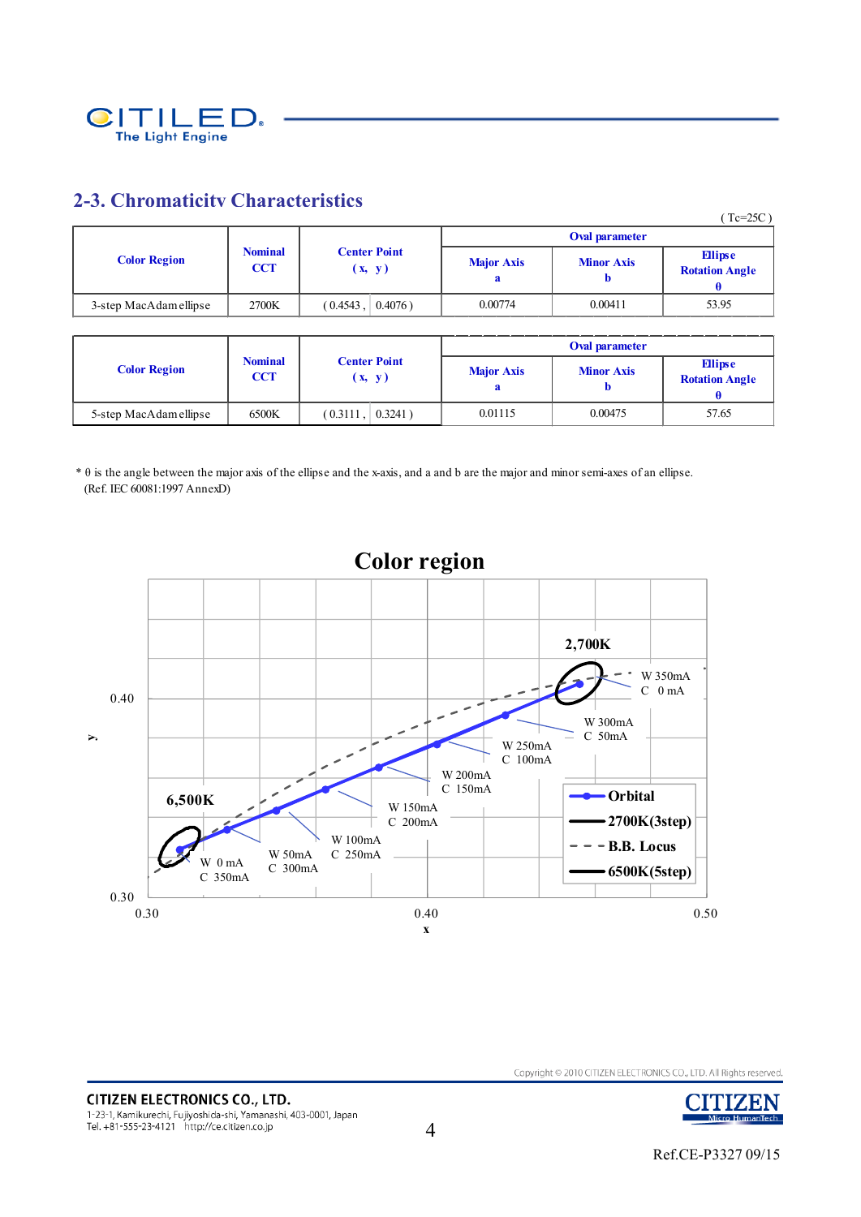

### **2-3. Chromaticity Characteristics**

|                        |                              |                               |                   |                        | $(Tc=25C)$                              |
|------------------------|------------------------------|-------------------------------|-------------------|------------------------|-----------------------------------------|
|                        |                              |                               |                   | Oval parameter         |                                         |
| <b>Color Region</b>    | <b>Nominal</b><br><b>CCT</b> | <b>Center Point</b><br>(x, y) | <b>Major Axis</b> | <b>Minor Axis</b><br>Ð | <b>Ellipse</b><br><b>Rotation Angle</b> |
| 3-step MacAdam ellipse | 2700K                        | $0.4076$ )<br>(0.4543,        | 0.00774           | 0.00411                | 53.95                                   |

|                        |                              |                               |                   | Oval parameter    |                                         |
|------------------------|------------------------------|-------------------------------|-------------------|-------------------|-----------------------------------------|
| <b>Color Region</b>    | <b>Nominal</b><br><b>CCT</b> | <b>Center Point</b><br>(x, y) | <b>Major Axis</b> | <b>Minor Axis</b> | <b>Ellipse</b><br><b>Rotation Angle</b> |
| 5-step MacAdam ellipse | 6500K                        | $0.3241$ )<br>$(0.3111)$ ,    | 0.01115           | 0.00475           | 57.65                                   |

\* θ is the angle between the major axis of the ellipse and the x-axis, and a and b are the major and minor semi-axes of an ellipse. (Ref. IEC 60081:1997 AnnexD)





Copyright © 2010 CITIZEN ELECTRONICS CO., LTD. All Rights reserved.

4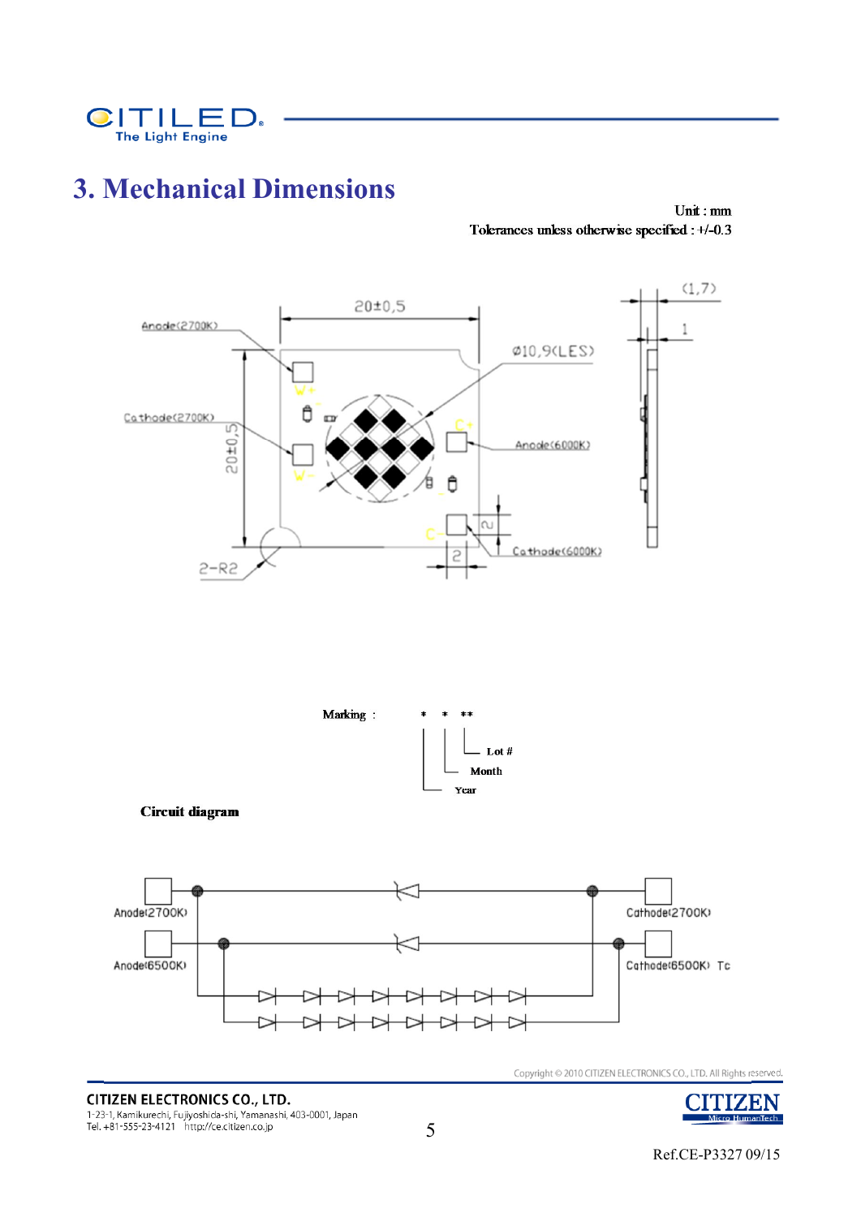

# **3. Mechanical Dimensions**

 $Unit : mm$ Tolerances unless otherwise specified : +/-0.3



**CITIZEN ELECTRONICS CO., LTD.** 1-23-1, Kamikurechi, Fujiyoshida-shi, Yamanashi, 403-0001, Japan<br>Tel. +81-555-23-4121 http://ce.citizen.co.jp



Ref.CE-P3327 09/15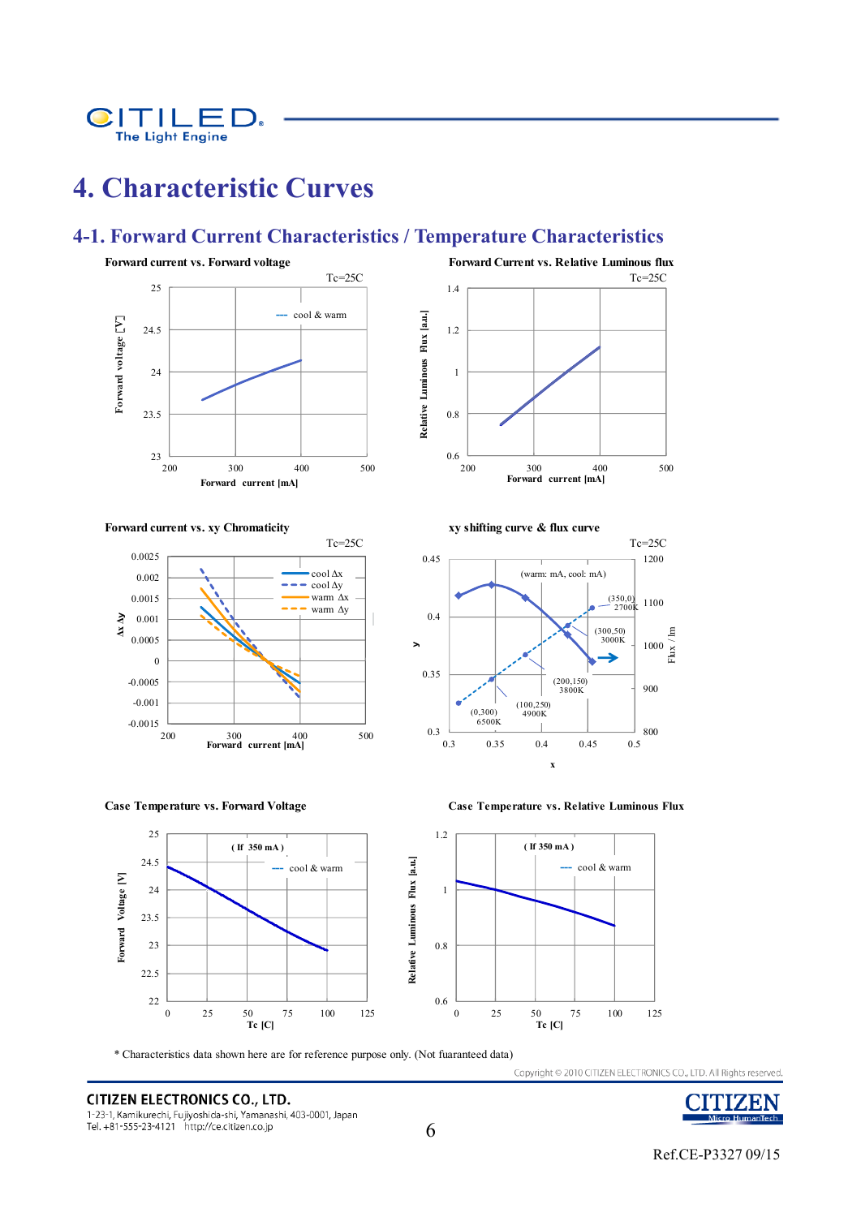

# **4. Characteristic Curves**

### **4-1. Forward Current Characteristics / Temperature Characteristics**

1.4







**Case Temperature vs. Forward Voltage Case Temperature vs. Relative Luminous Flux**







\* Characteristics data shown here are for reference purpose only. (Not fuaranteed data)

**CITIZEN ELECTRONICS CO., LTD.** 1-23-1, Kamikurechi, Fujiyoshida-shi, Yamanashi, 403-0001, Japan Tel. +81-555-23-4121 http://ce.citizen.co.jp





ZEN

Micro HumanTech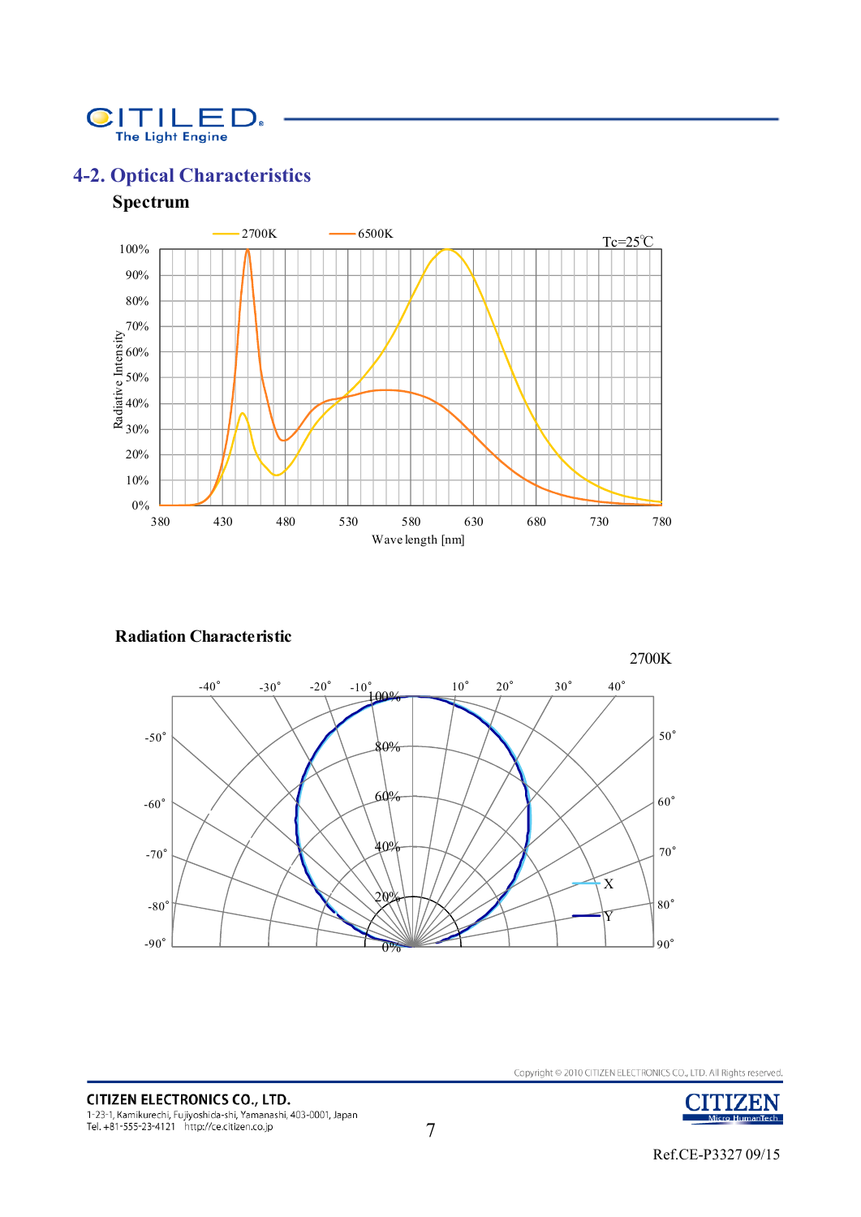

# **4-2. Optical Characteristics**

### **Spectrum**



#### **Radiation Characteristic**





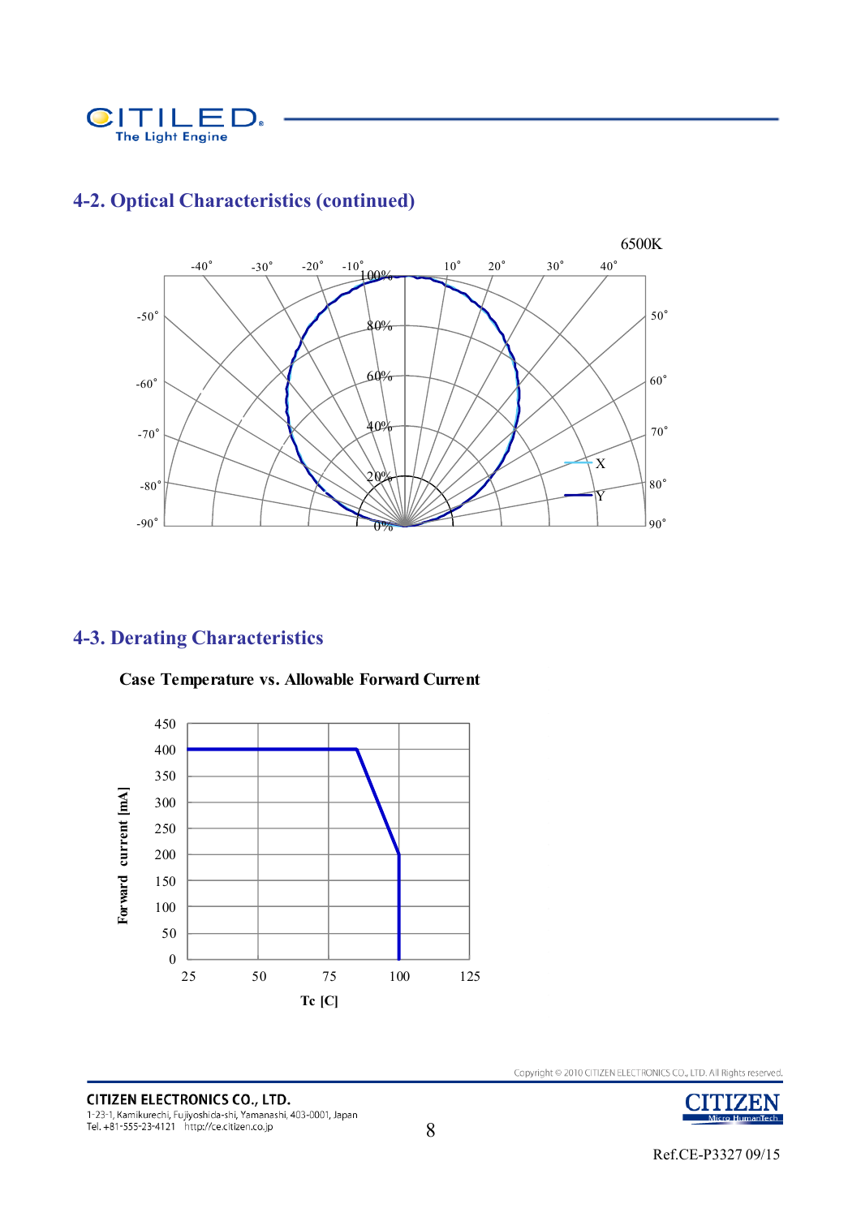



# **4-2. Optical Characteristics (continued)**

# **4-3. Derating Characteristics**



**Case Temperature vs. Allowable Forward Current**

**CITIZEN ELECTRONICS CO., LTD.** 1-23-1, Kamikurechi, Fujiyoshida-shi, Yamanashi, 403-0001, Japan<br>Tel. +81-555-23-4121 http://ce.citizen.co.jp

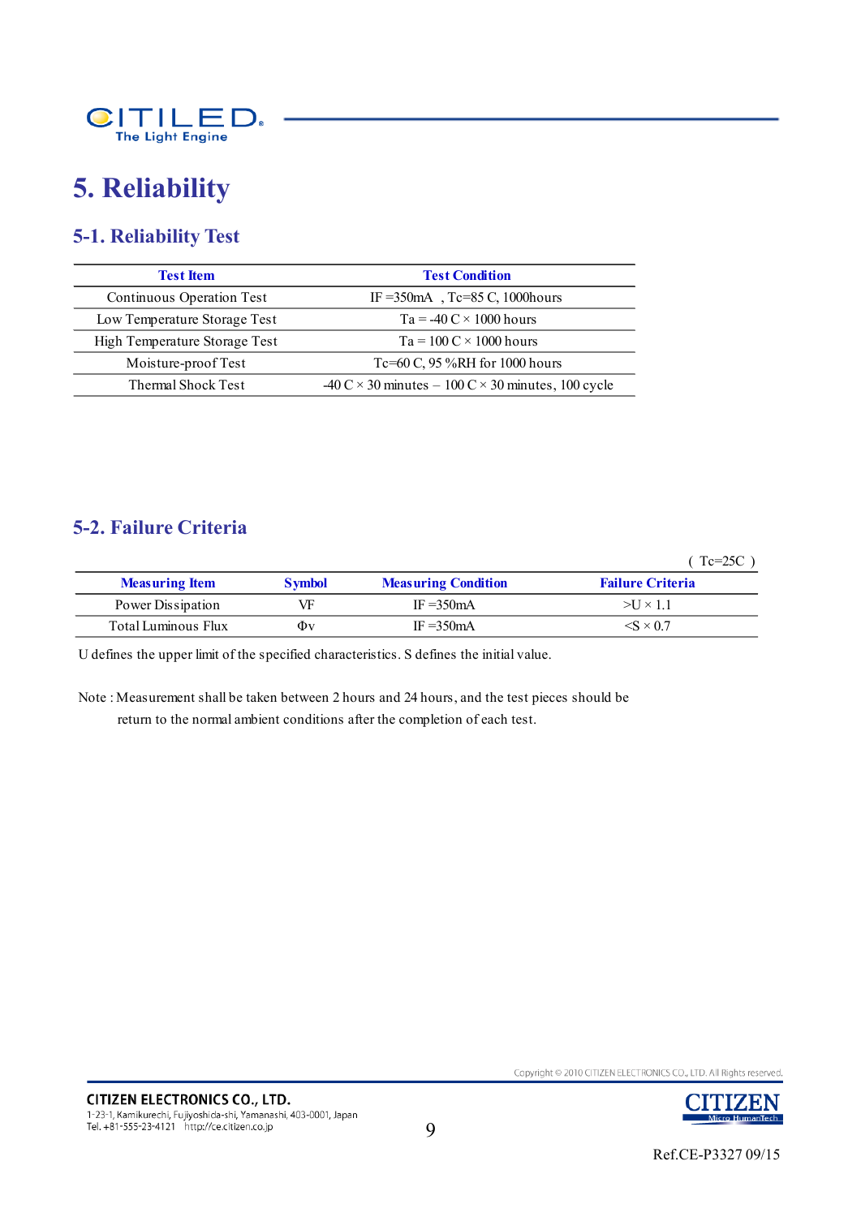

# **5. Reliability**

# **5-1. Reliability Test**

| <b>Test Item</b>              | <b>Test Condition</b>                                                                           |  |  |
|-------------------------------|-------------------------------------------------------------------------------------------------|--|--|
| Continuous Operation Test     | IF = 350 mA, Tc=85 C, 1000 hours                                                                |  |  |
| Low Temperature Storage Test  | $Ta = -40 C \times 1000$ hours                                                                  |  |  |
| High Temperature Storage Test | $Ta = 100 C \times 1000$ hours                                                                  |  |  |
| Moisture-proof Test           | Tc=60 C, $95\%RH$ for 1000 hours                                                                |  |  |
| Thermal Shock Test            | $-40 \text{ C} \times 30 \text{ minutes} - 100 \text{ C} \times 30 \text{ minutes}$ , 100 cycle |  |  |

### **5-2. Failure Criteria**

( Tc=25C )

| <b>Measuring Item</b> | <b>Symbol</b> | <b>Measuring Condition</b> | <b>Failure Criteria</b>  |
|-----------------------|---------------|----------------------------|--------------------------|
| Power Dissipation     | VF            | IF $=350mA$                | $>U \times 1.1$          |
| Total Luminous Flux   | Φv            | IF $=350mA$                | $\langle$ S $\times$ 0.7 |

U defines the upper limit of the specified characteristics. S defines the initial value.

Note : Measurement shall be taken between 2 hours and 24 hours, and the test pieces should be return to the normal ambient conditions after the completion of each test.

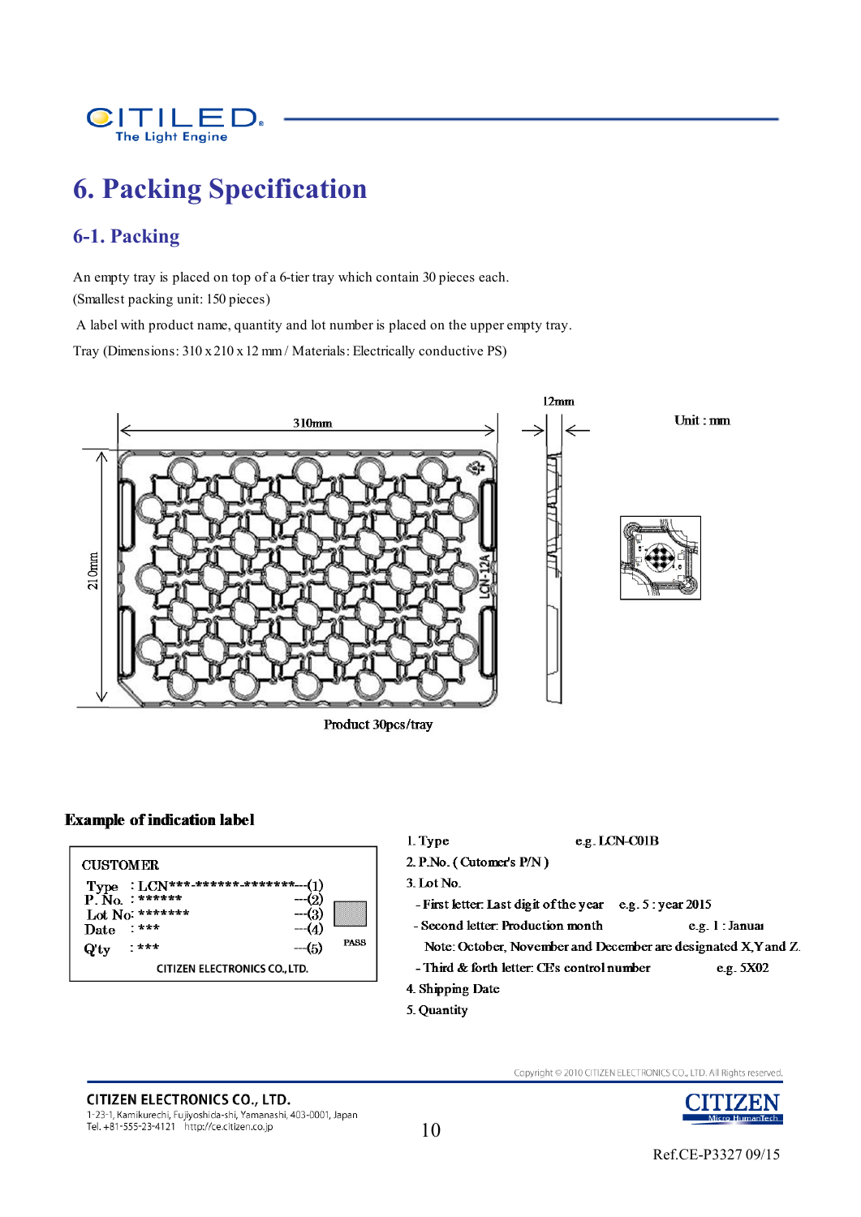

# **6. Packing Specification**

### **6-1. Packing**

An empty tray is placed on top of a 6-tier tray which contain 30 pieces each. (Smallest packing unit: 150 pieces)

A label with product name, quantity and lot number is placed on the upper empty tray.

Tray (Dimensions: 310 x 210 x 12 mm / Materials: Electrically conductive PS)



Product 30pcs/tray

#### **Example of indication label**



5. Quantity

# **CITIZEN ELECTRONICS CO., LTD.**

1-23-1, Kamikurechi, Fujiyoshida-shi, Yamanashi, 403-0001, Japan Tel. +81-555-23-4121 http://ce.citizen.co.jp

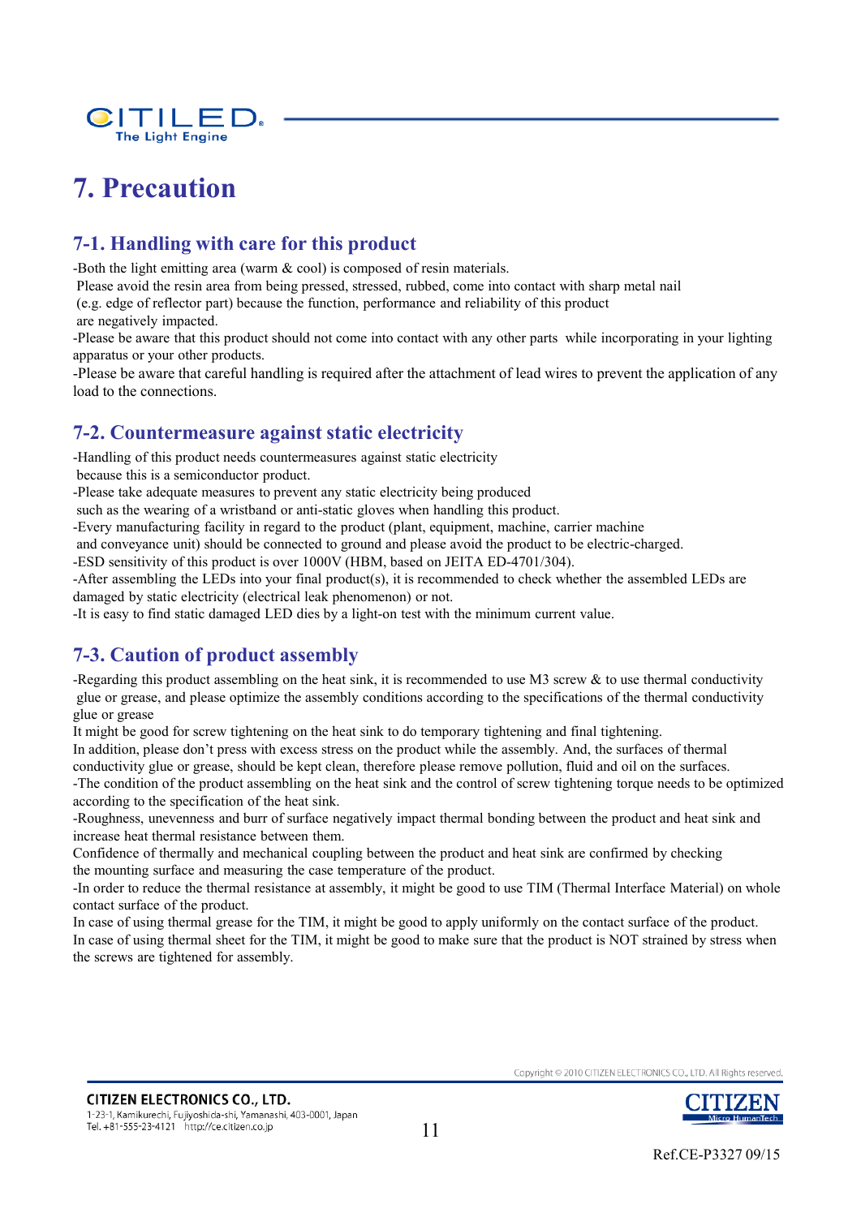

# **7. Precaution**

# **7-1. Handling with care for this product**

-Both the light emitting area (warm & cool) is composed of resin materials.

Please avoid the resin area from being pressed, stressed, rubbed, come into contact with sharp metal nail

(e.g. edge of reflector part) because the function, performance and reliability of this product

are negatively impacted.

-Please be aware that this product should not come into contact with any other parts while incorporating in your lighting apparatus or your other products.

-Please be aware that careful handling is required after the attachment of lead wires to prevent the application of any load to the connections.

### **7-2. Countermeasure against static electricity**

-Handling of this product needs countermeasures against static electricity

because this is a semiconductor product.

-Please take adequate measures to prevent any static electricity being produced

such as the wearing of a wristband or anti-static gloves when handling this product.

-Every manufacturing facility in regard to the product (plant, equipment, machine, carrier machine

and conveyance unit) should be connected to ground and please avoid the product to be electric-charged.

-ESD sensitivity of this product is over 1000V (HBM, based on JEITA ED-4701/304).

-After assembling the LEDs into your final product(s), it is recommended to check whether the assembled LEDs are damaged by static electricity (electrical leak phenomenon) or not.

-It is easy to find static damaged LED dies by a light-on test with the minimum current value.

# **7-3. Caution of product assembly**

-Regarding this product assembling on the heat sink, it is recommended to use M3 screw  $\&$  to use thermal conductivity glue or grease, and please optimize the assembly conditions according to the specifications of the thermal conductivity glue or grease

It might be good for screw tightening on the heat sink to do temporary tightening and final tightening.

In addition, please don't press with excess stress on the product while the assembly. And, the surfaces of thermal

conductivity glue or grease, should be kept clean, therefore please remove pollution, fluid and oil on the surfaces.

-The condition of the product assembling on the heat sink and the control of screw tightening torque needs to be optimized according to the specification of the heat sink.

-Roughness, unevenness and burr of surface negatively impact thermal bonding between the product and heat sink and increase heat thermal resistance between them.

Confidence of thermally and mechanical coupling between the product and heat sink are confirmed by checking the mounting surface and measuring the case temperature of the product.

-In order to reduce the thermal resistance at assembly, it might be good to use TIM (Thermal Interface Material) on whole contact surface of the product.

In case of using thermal grease for the TIM, it might be good to apply uniformly on the contact surface of the product. In case of using thermal sheet for the TIM, it might be good to make sure that the product is NOT strained by stress when the screws are tightened for assembly.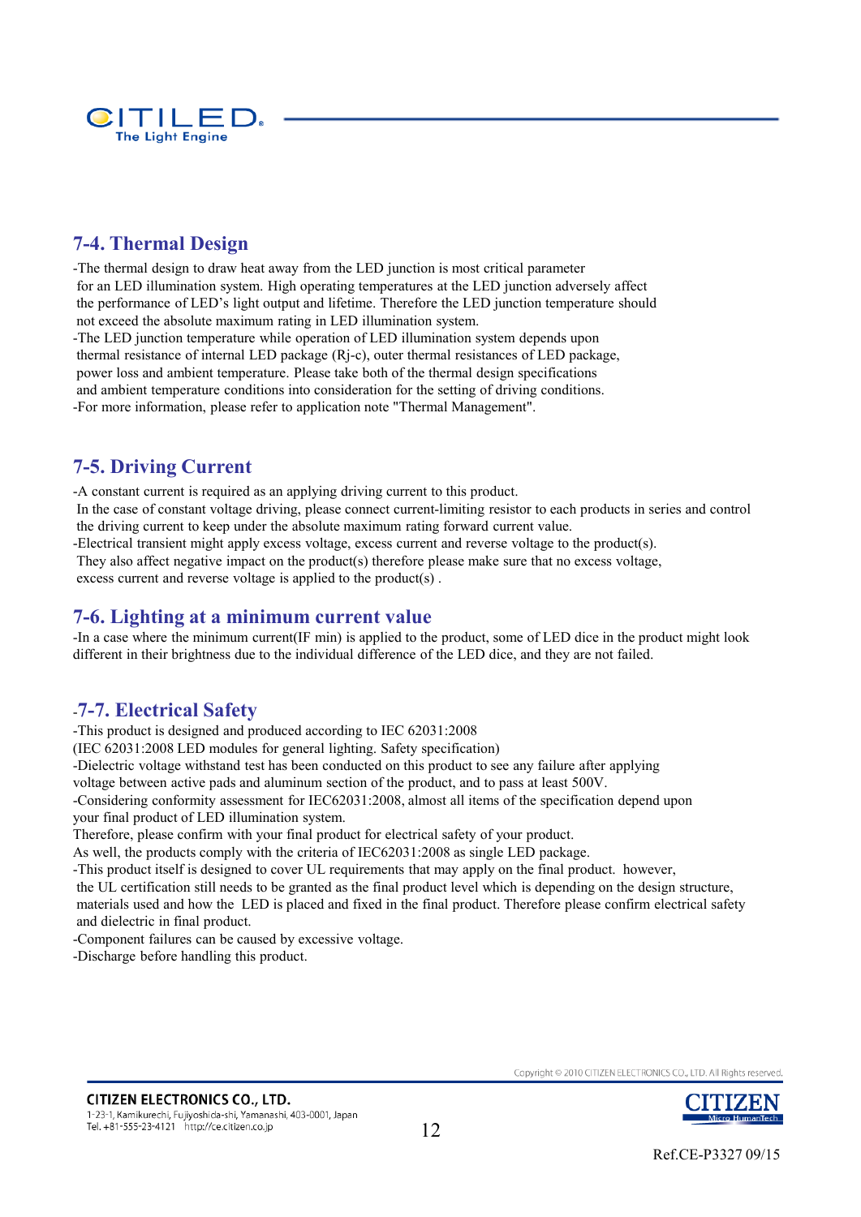

## **7-4. Thermal Design**

-The thermal design to draw heat away from the LED junction is most critical parameter for an LED illumination system. High operating temperatures at the LED junction adversely affect the performance of LED's light output and lifetime. Therefore the LED junction temperature should not exceed the absolute maximum rating in LED illumination system. -The LED junction temperature while operation of LED illumination system depends upon

thermal resistance of internal LED package (Rj-c), outer thermal resistances of LED package, power loss and ambient temperature. Please take both of the thermal design specifications and ambient temperature conditions into consideration for the setting of driving conditions. -For more information, please refer to application note "Thermal Management".

## **7-5. Driving Current**

-A constant current is required as an applying driving current to this product. In the case of constant voltage driving, please connect current-limiting resistor to each products in series and control the driving current to keep under the absolute maximum rating forward current value.

-Electrical transient might apply excess voltage, excess current and reverse voltage to the product(s).

They also affect negative impact on the product(s) therefore please make sure that no excess voltage,

excess current and reverse voltage is applied to the product(s) .

### **7-6. Lighting at a minimum current value**

-In a case where the minimum current(IF min) is applied to the product, some of LED dice in the product might look different in their brightness due to the individual difference of the LED dice, and they are not failed.

### -**7-7. Electrical Safety**

-This product is designed and produced according to IEC 62031:2008

(IEC 62031:2008 LED modules for general lighting. Safety specification)

-Dielectric voltage withstand test has been conducted on this product to see any failure after applying

voltage between active pads and aluminum section of the product, and to pass at least 500V.

-Considering conformity assessment for IEC62031:2008, almost all items of the specification depend upon your final product of LED illumination system.

Therefore, please confirm with your final product for electrical safety of your product.

As well, the products comply with the criteria of IEC62031:2008 as single LED package.

-This product itself is designed to cover UL requirements that may apply on the final product. however,

the UL certification still needs to be granted as the final product level which is depending on the design structure, materials used and how the LED is placed and fixed in the final product. Therefore please confirm electrical safety and dielectric in final product.

-Component failures can be caused by excessive voltage.

-Discharge before handling this product.

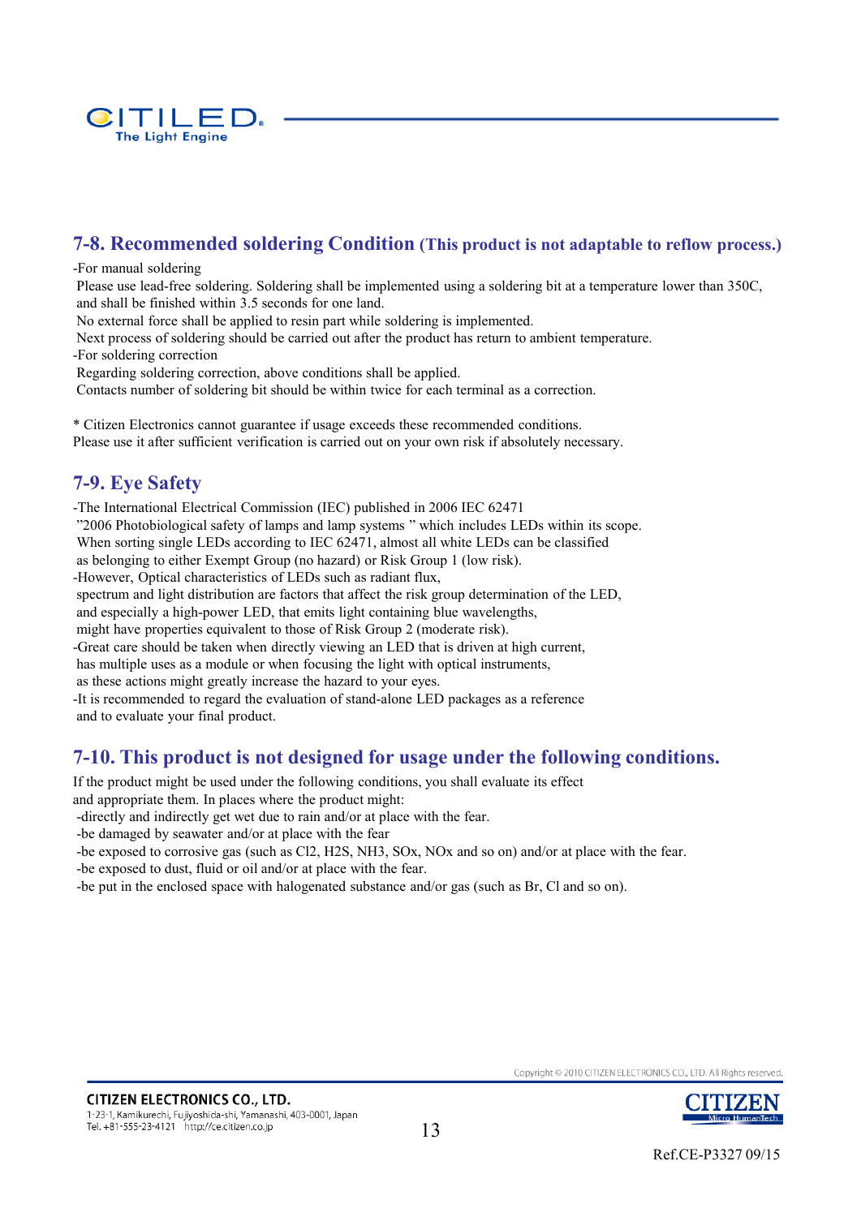

## **7-8. Recommended soldering Condition (This product is not adaptable to reflow process.)**

#### -For manual soldering

Please use lead-free soldering. Soldering shall be implemented using a soldering bit at a temperature lower than 350C, and shall be finished within 3.5 seconds for one land.

No external force shall be applied to resin part while soldering is implemented.

Next process of soldering should be carried out after the product has return to ambient temperature. -For soldering correction

Regarding soldering correction, above conditions shall be applied.

Contacts number of soldering bit should be within twice for each terminal as a correction.

\* Citizen Electronics cannot guarantee if usage exceeds these recommended conditions. Please use it after sufficient verification is carried out on your own risk if absolutely necessary.

### **7-9. Eye Safety**

-The International Electrical Commission (IEC) published in 2006 IEC 62471 "2006 Photobiological safety of lamps and lamp systems " which includes LEDs within its scope. When sorting single LEDs according to IEC 62471, almost all white LEDs can be classified as belonging to either Exempt Group (no hazard) or Risk Group 1 (low risk). -However, Optical characteristics of LEDs such as radiant flux, spectrum and light distribution are factors that affect the risk group determination of the LED, and especially a high-power LED, that emits light containing blue wavelengths, might have properties equivalent to those of Risk Group 2 (moderate risk). -Great care should be taken when directly viewing an LED that is driven at high current, has multiple uses as a module or when focusing the light with optical instruments, as these actions might greatly increase the hazard to your eyes. -It is recommended to regard the evaluation of stand-alone LED packages as a reference and to evaluate your final product.

### **7-10. This product is not designed for usage under the following conditions.**

If the product might be used under the following conditions, you shall evaluate its effect

and appropriate them. In places where the product might:

-directly and indirectly get wet due to rain and/or at place with the fear.

-be damaged by seawater and/or at place with the fear

-be exposed to corrosive gas (such as Cl2, H2S, NH3, SOx, NOx and so on) and/or at place with the fear. -be exposed to dust, fluid or oil and/or at place with the fear.

-be put in the enclosed space with halogenated substance and/or gas (such as Br, Cl and so on).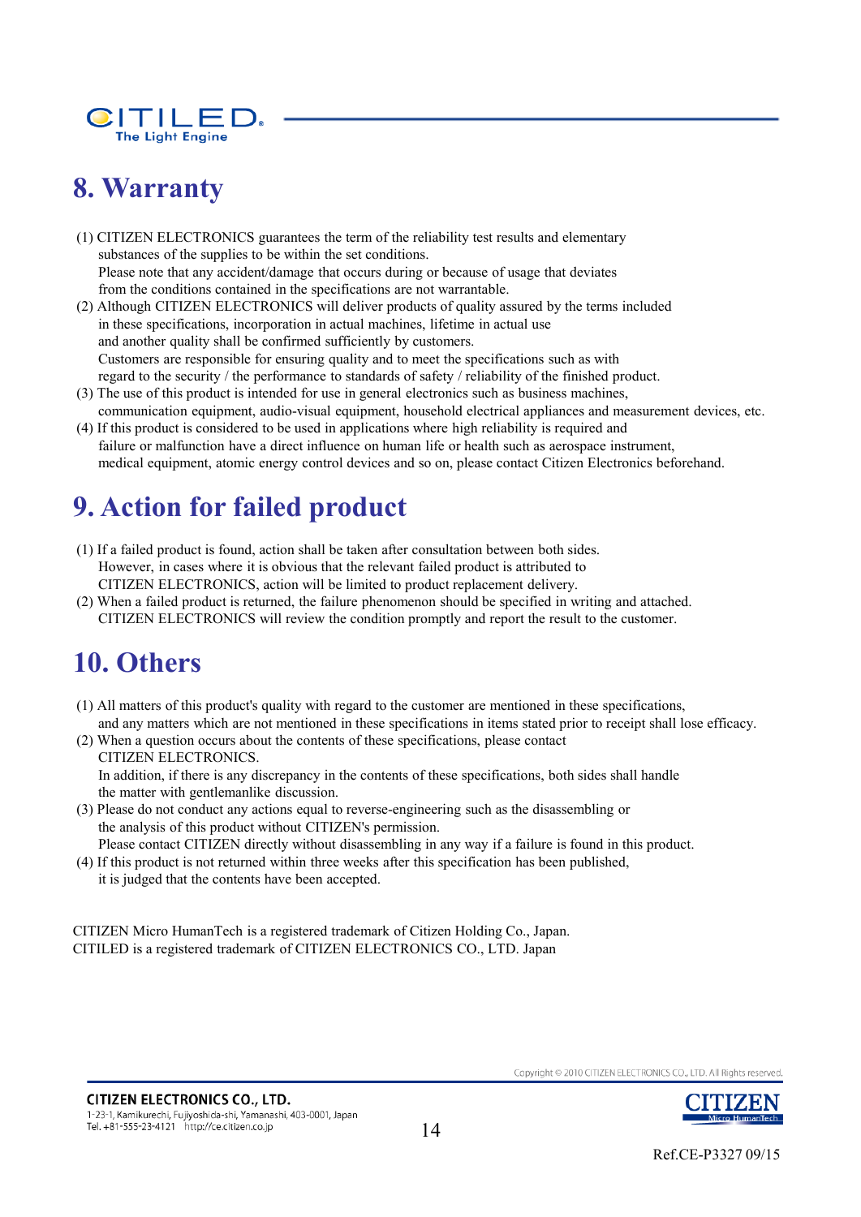

# **8. Warranty**

(1) CITIZEN ELECTRONICS guarantees the term of the reliability test results and elementary substances of the supplies to be within the set conditions. Please note that any accident/damage that occurs during or because of usage that deviates from the conditions contained in the specifications are not warrantable.

- (2) Although CITIZEN ELECTRONICS will deliver products of quality assured by the terms included in these specifications, incorporation in actual machines, lifetime in actual use and another quality shall be confirmed sufficiently by customers. Customers are responsible for ensuring quality and to meet the specifications such as with regard to the security / the performance to standards of safety / reliability of the finished product.
- (3) The use of this product is intended for use in general electronics such as business machines, communication equipment, audio-visual equipment, household electrical appliances and measurement devices, etc.
- (4) If this product is considered to be used in applications where high reliability is required and failure or malfunction have a direct influence on human life or health such as aerospace instrument, medical equipment, atomic energy control devices and so on, please contact Citizen Electronics beforehand.

# **9. Action for failed product**

- (1) If a failed product is found, action shall be taken after consultation between both sides. However, in cases where it is obvious that the relevant failed product is attributed to CITIZEN ELECTRONICS, action will be limited to product replacement delivery.
- (2) When a failed product is returned, the failure phenomenon should be specified in writing and attached. CITIZEN ELECTRONICS will review the condition promptly and report the result to the customer.

# **10. Others**

- (1) All matters of this product's quality with regard to the customer are mentioned in these specifications, and any matters which are not mentioned in these specifications in items stated prior to receipt shall lose efficacy.
- (2) When a question occurs about the contents of these specifications, please contact CITIZEN ELECTRONICS. In addition, if there is any discrepancy in the contents of these specifications, both sides shall handle the matter with gentlemanlike discussion.
- (3) Please do not conduct any actions equal to reverse-engineering such as the disassembling or the analysis of this product without CITIZEN's permission.

Please contact CITIZEN directly without disassembling in any way if a failure is found in this product.

(4) If this product is not returned within three weeks after this specification has been published, it is judged that the contents have been accepted.

CITIZEN Micro HumanTech is a registered trademark of Citizen Holding Co., Japan. CITILED is a registered trademark of CITIZEN ELECTRONICS CO., LTD. Japan

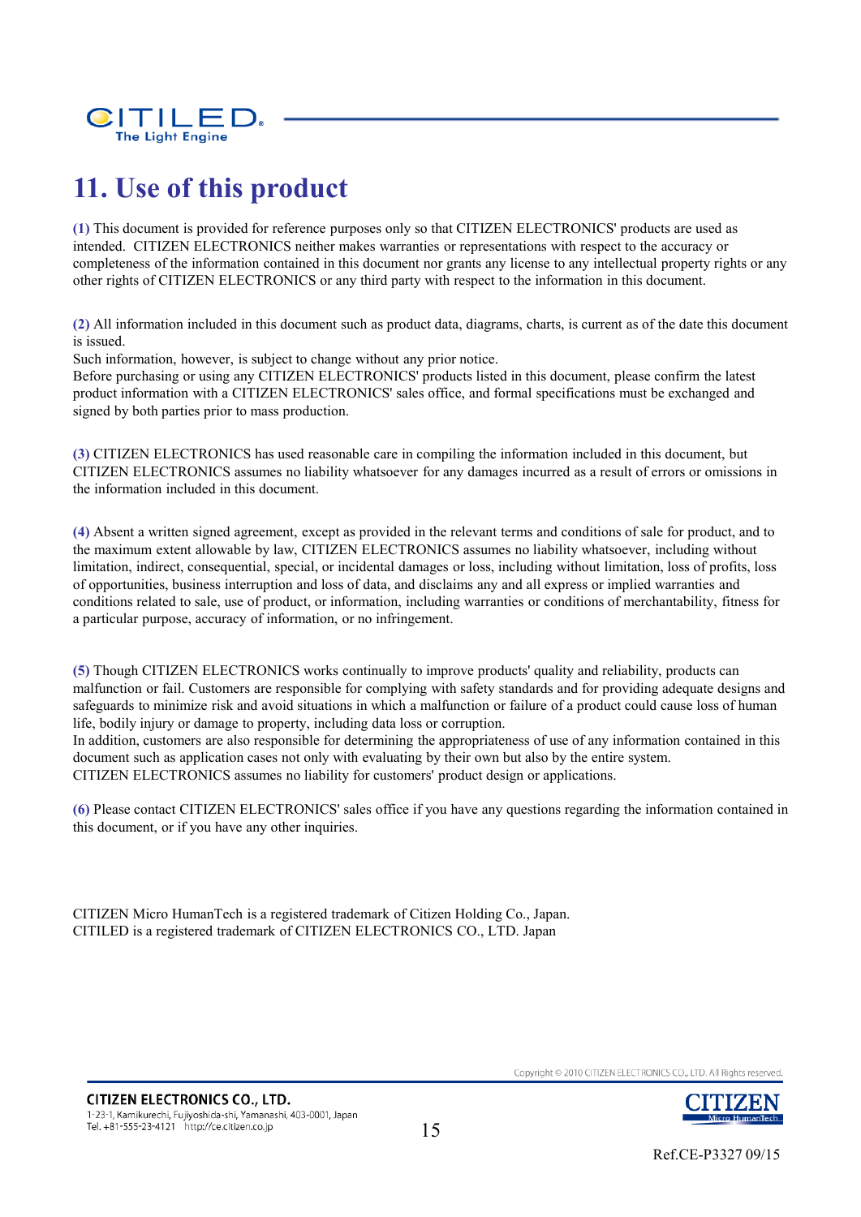

# **11. Use of this product**

**(1)** This document is provided for reference purposes only so that CITIZEN ELECTRONICS' products are used as intended. CITIZEN ELECTRONICS neither makes warranties or representations with respect to the accuracy or completeness of the information contained in this document nor grants any license to any intellectual property rights or any other rights of CITIZEN ELECTRONICS or any third party with respect to the information in this document.

**(2)** All information included in this document such as product data, diagrams, charts, is current as of the date this document is issued.

Such information, however, is subject to change without any prior notice.

Before purchasing or using any CITIZEN ELECTRONICS' products listed in this document, please confirm the latest product information with a CITIZEN ELECTRONICS' sales office, and formal specifications must be exchanged and signed by both parties prior to mass production.

**(3)** CITIZEN ELECTRONICS has used reasonable care in compiling the information included in this document, but CITIZEN ELECTRONICS assumes no liability whatsoever for any damages incurred as a result of errors or omissions in the information included in this document.

**(4)** Absent a written signed agreement, except as provided in the relevant terms and conditions of sale for product, and to the maximum extent allowable by law, CITIZEN ELECTRONICS assumes no liability whatsoever, including without limitation, indirect, consequential, special, or incidental damages or loss, including without limitation, loss of profits, loss of opportunities, business interruption and loss of data, and disclaims any and all express or implied warranties and conditions related to sale, use of product, or information, including warranties or conditions of merchantability, fitness for a particular purpose, accuracy of information, or no infringement.

**(5)** Though CITIZEN ELECTRONICS works continually to improve products' quality and reliability, products can malfunction or fail. Customers are responsible for complying with safety standards and for providing adequate designs and safeguards to minimize risk and avoid situations in which a malfunction or failure of a product could cause loss of human life, bodily injury or damage to property, including data loss or corruption.

In addition, customers are also responsible for determining the appropriateness of use of any information contained in this document such as application cases not only with evaluating by their own but also by the entire system. CITIZEN ELECTRONICS assumes no liability for customers' product design or applications.

**(6)** Please contact CITIZEN ELECTRONICS' sales office if you have any questions regarding the information contained in this document, or if you have any other inquiries.

CITIZEN Micro HumanTech is a registered trademark of Citizen Holding Co., Japan. CITILED is a registered trademark of CITIZEN ELECTRONICS CO., LTD. Japan